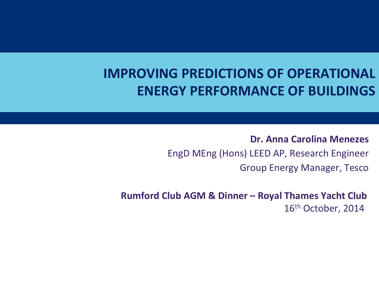# **IMPROVING PREDICTIONS OF OPERATIONAL ENERGY PERFORMANCE OF BUILDINGS**

**Dr.)Anna)Carolina)Menezes)** EngD MEng (Hons) LEED AP, Research Engineer **Group Energy Manager, Tesco** 

Rumford Club AGM & Dinner - Royal Thames Yacht Club 16<sup>th</sup> October, 2014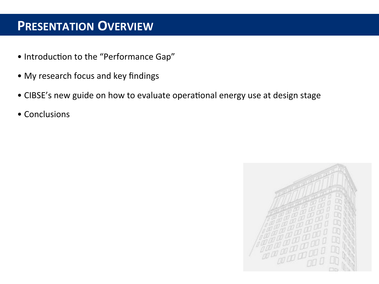#### **PRESENTATION OVERVIEW**

- Introduction to the "Performance Gap"
- My research focus and key findings
- CIBSE's new guide on how to evaluate operational energy use at design stage
- Conclusions

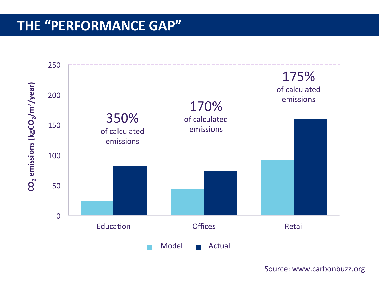### THE "PERFORMANCE GAP"



Source: www.carbonbuzz.org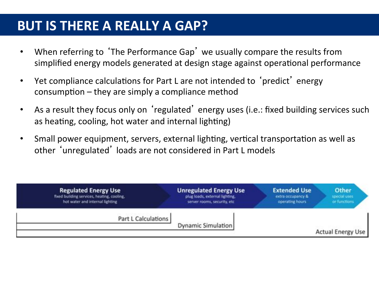#### **BUT IS THERE A REALLY A GAP?**

- When referring to 'The Performance Gap' we usually compare the results from simplified energy models generated at design stage against operational performance
- Yet compliance calculations for Part L are not intended to 'predict' energy  $consumption$  – they are simply a compliance method
- As a result they focus only on 'regulated' energy uses (i.e.: fixed building services such as heating, cooling, hot water and internal lighting)
- Small power equipment, servers, external lighting, vertical transportation as well as other 'unregulated' loads are not considered in Part L models

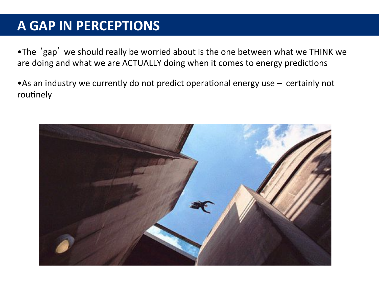## **A GAP IN PERCEPTIONS**

.The 'gap' we should really be worried about is the one between what we THINK we are doing and what we are ACTUALLY doing when it comes to energy predictions

• As an industry we currently do not predict operational energy use  $-$  certainly not routinely

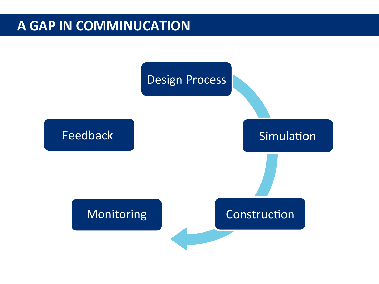#### **A)GAP IN COMMINUCATION**

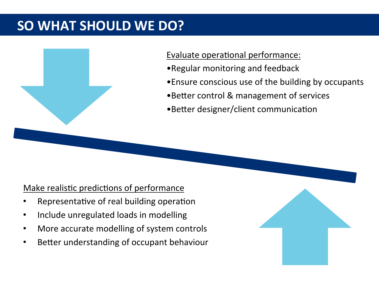# **SO WHAT SHOULD WE DO?**



#### Evaluate operational performance:

- Regular monitoring and feedback
- •Ensure conscious use of the building by occupants
- •Better control & management of services
- •Better designer/client communication

#### Make realistic predictions of performance

- Representative of real building operation
- Include unregulated loads in modelling
- More accurate modelling of system controls
- Better understanding of occupant behaviour

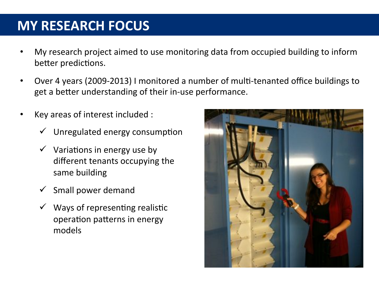## **MY)RESEARCH)FOCUS)**

- My research project aimed to use monitoring data from occupied building to inform better predictions.
- Over 4 years (2009-2013) I monitored a number of multi-tenanted office buildings to get a better understanding of their in-use performance.
- Key areas of interest included :
	- Unregulated energy consumption
	- $\checkmark$  Variations in energy use by different tenants occupying the same building
	- Small power demand
	- $\checkmark$  Ways of representing realistic operation patterns in energy models

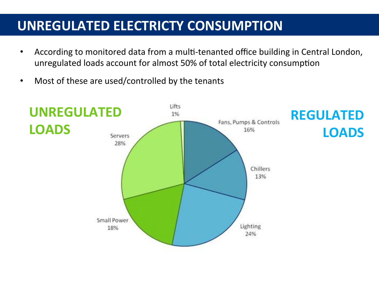## **UNREGULATED ELECTRICTY CONSUMPTION**

- According to monitored data from a multi-tenanted office building in Central London, unregulated loads account for almost 50% of total electricity consumption
- Most of these are used/controlled by the tenants

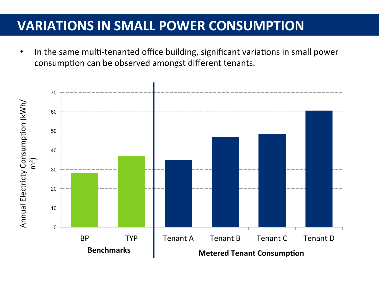### **VARIATIONS IN SMALL POWER CONSUMPTION**

• In the same multi-tenanted office building, significant variations in small power consumption can be observed amongst different tenants.

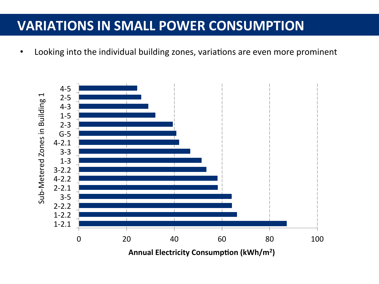#### **VARIATIONS IN SMALL POWER CONSUMPTION**

Looking into the individual building zones, variations are even more prominent

![](_page_10_Figure_2.jpeg)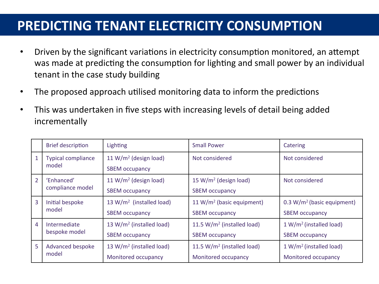# **PREDICTING TENANT ELECTRICITY CONSUMPTION**

- Driven by the significant variations in electricity consumption monitored, an attempt was made at predicting the consumption for lighting and small power by an individual tenant in the case study building
- The proposed approach utilised monitoring data to inform the predictions
- This was undertaken in five steps with increasing levels of detail being added incrementally

|                | <b>Brief description</b>           | Lighting                             | <b>Small Power</b>                | Catering                     |
|----------------|------------------------------------|--------------------------------------|-----------------------------------|------------------------------|
|                | <b>Typical compliance</b><br>model | 11 W/ $m^2$ (design load)            | Not considered                    | Not considered               |
|                |                                    | <b>SBEM</b> occupancy                |                                   |                              |
| $\overline{2}$ | 'Enhanced'<br>compliance model     | 11 W/ $m^2$ (design load)            | 15 W/m <sup>2</sup> (design load) | Not considered               |
|                |                                    | <b>SBEM occupancy</b>                | <b>SBEM occupancy</b>             |                              |
| 3              | Initial bespoke<br>model           | 13 $W/m^2$ (installed load)          | 11 W/ $m^2$ (basic equipment)     | $0.3 W/m2$ (basic equipment) |
|                |                                    | <b>SBEM</b> occupancy                | <b>SBEM occupancy</b>             | <b>SBEM occupancy</b>        |
| $\overline{4}$ | Intermediate<br>bespoke model      | 13 W/ $m^2$ (installed load)         | 11.5 $W/m^2$ (installed load)     | $1 W/m^2$ (installed load)   |
|                |                                    | <b>SBEM</b> occupancy                | <b>SBEM occupancy</b>             | <b>SBEM occupancy</b>        |
| 5              | Advanced bespoke<br>model          | 13 W/m <sup>2</sup> (installed load) | 11.5 $W/m^2$ (installed load)     | $1 W/m^2$ (installed load)   |
|                |                                    | Monitored occupancy                  | Monitored occupancy               | Monitored occupancy          |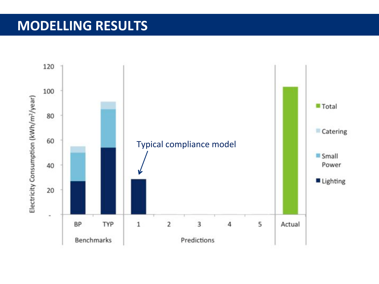![](_page_12_Figure_1.jpeg)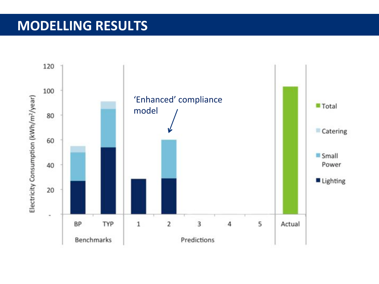![](_page_13_Figure_1.jpeg)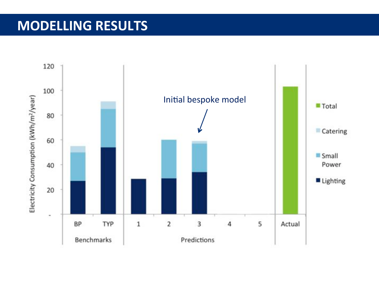![](_page_14_Figure_1.jpeg)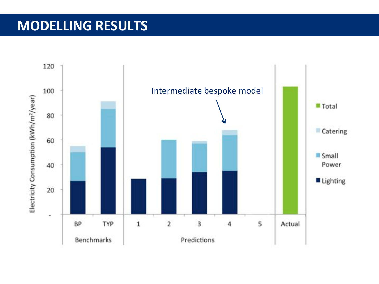![](_page_15_Figure_1.jpeg)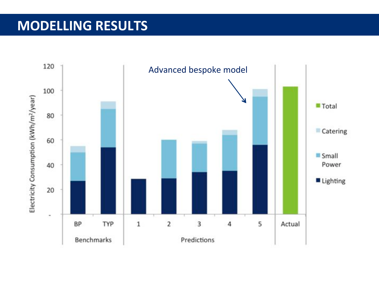![](_page_16_Figure_1.jpeg)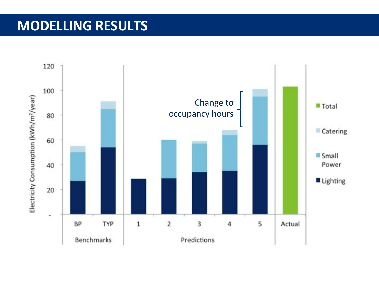![](_page_17_Figure_1.jpeg)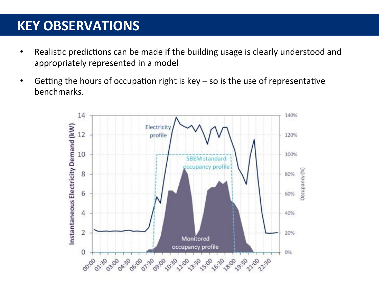### **KEY OBSERVATIONS**

- Realistic predictions can be made if the building usage is clearly understood and appropriately represented in a model
- Getting the hours of occupation right is  $key so$  is the use of representative  $\bullet$ benchmarks.

![](_page_18_Figure_3.jpeg)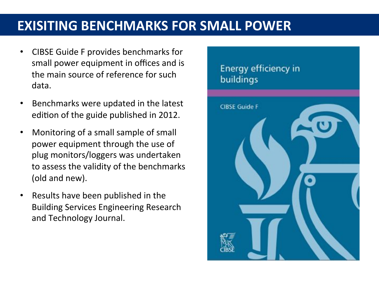- CIBSE Guide F provides benchmarks for small power equipment in offices and is the main source of reference for such data.
- Benchmarks were updated in the latest edition of the guide published in 2012.
- Monitoring of a small sample of small power equipment through the use of plug monitors/loggers was undertaken to assess the validity of the benchmarks (old and new).
- Results have been published in the Building Services Engineering Research and Technology Journal.

#### Energy efficiency in buildings

![](_page_19_Picture_6.jpeg)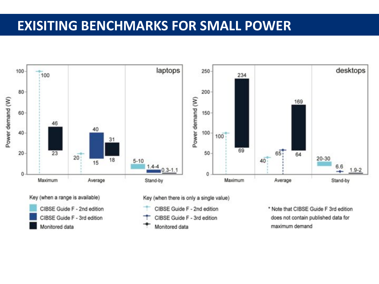![](_page_20_Figure_1.jpeg)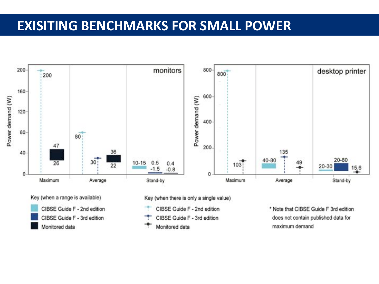![](_page_21_Figure_1.jpeg)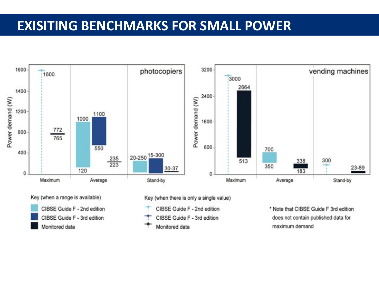![](_page_22_Figure_1.jpeg)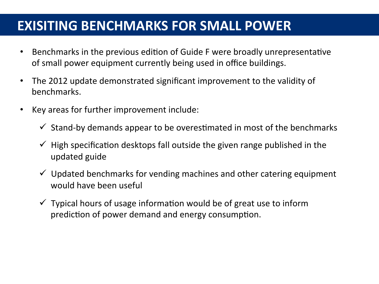- Benchmarks in the previous edition of Guide F were broadly unrepresentative of small power equipment currently being used in office buildings.
- The 2012 update demonstrated significant improvement to the validity of benchmarks.
- Key areas for further improvement include:
	- $\checkmark$  Stand-by demands appear to be overestimated in most of the benchmarks
	- $\checkmark$  High specification desktops fall outside the given range published in the updated guide
	- $\checkmark$  Updated benchmarks for vending machines and other catering equipment would have been useful
	- $\checkmark$  Typical hours of usage information would be of great use to inform prediction of power demand and energy consumption.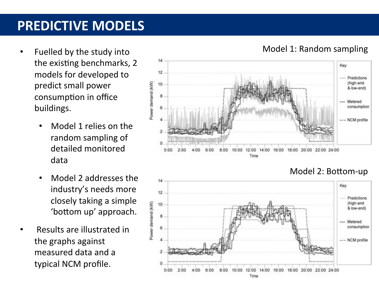## **PREDICTIVE MODELS**

- Fuelled by the study into the existing benchmarks, 2 models for developed to predict small power consumption in office buildings.
	- Model 1 relies on the random sampling of detailed monitored data
	- Model 2 addresses the industry's needs more closely taking a simple 'bottom up' approach.
- Results are illustrated in the graphs against measured data and a typical NCM profile.

![](_page_24_Figure_5.jpeg)

![](_page_24_Figure_6.jpeg)

#### Model 2: Bottom-up

#### Model 1: Random sampling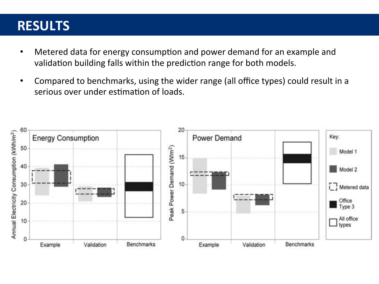#### **RESULTS)**

- Metered data for energy consumption and power demand for an example and validation building falls within the prediction range for both models.
- Compared to benchmarks, using the wider range (all office types) could result in a serious over under estimation of loads.

![](_page_25_Figure_3.jpeg)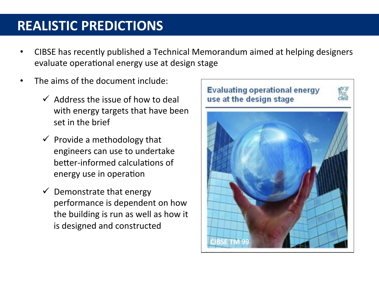## **REALISTIC PREDICTIONS**

- CIBSE has recently published a Technical Memorandum aimed at helping designers evaluate operational energy use at design stage
- The aims of the document include:
	- $\checkmark$  Address the issue of how to deal with energy targets that have been set in the brief
	- $\checkmark$  Provide a methodology that engineers can use to undertake better-informed calculations of energy use in operation
	- $\checkmark$  Demonstrate that energy performance is dependent on how the building is run as well as how it is designed and constructed

![](_page_26_Picture_6.jpeg)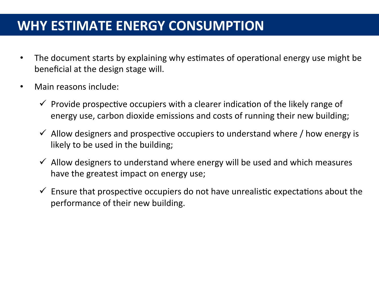### **WHY ESTIMATE ENERGY CONSUMPTION**

- The document starts by explaining why estimates of operational energy use might be beneficial at the design stage will.
- $\bullet$  Main reasons include:
	- $\checkmark$  Provide prospective occupiers with a clearer indication of the likely range of energy use, carbon dioxide emissions and costs of running their new building;
	- $\checkmark$  Allow designers and prospective occupiers to understand where / how energy is likely to be used in the building;
	- $\checkmark$  Allow designers to understand where energy will be used and which measures have the greatest impact on energy use;
	- $\checkmark$  Ensure that prospective occupiers do not have unrealistic expectations about the performance of their new building.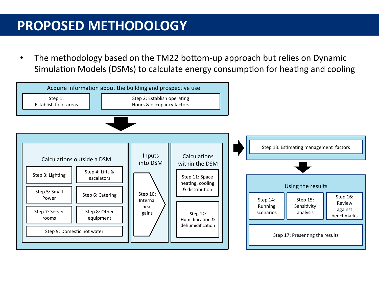# **PROPOSED METHODOLOGY**

The methodology based on the TM22 bottom-up approach but relies on Dynamic Simulation Models (DSMs) to calculate energy consumption for heating and cooling

![](_page_28_Figure_2.jpeg)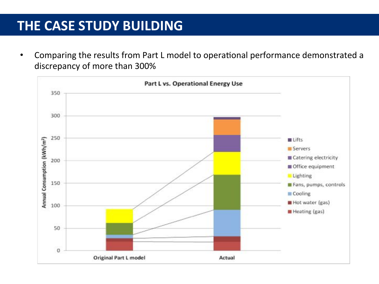### THE CASE STUDY BUILDING

Comparing the results from Part L model to operational performance demonstrated a discrepancy of more than 300%

![](_page_29_Figure_2.jpeg)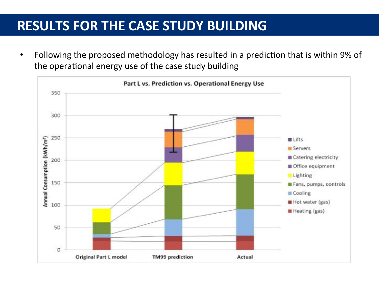### **RESULTS FOR THE CASE STUDY BUILDING**

Following the proposed methodology has resulted in a prediction that is within 9% of the operational energy use of the case study building

![](_page_30_Figure_2.jpeg)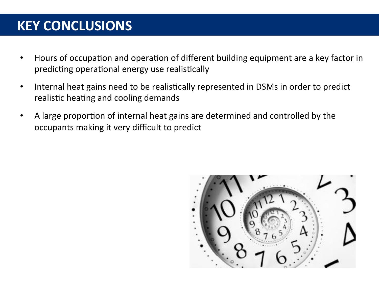# **KEY CONCLUSIONS**

- Hours of occupation and operation of different building equipment are a key factor in predicting operational energy use realistically
- Internal heat gains need to be realistically represented in DSMs in order to predict  $\bullet$ realistic heating and cooling demands
- A large proportion of internal heat gains are determined and controlled by the occupants making it very difficult to predict

![](_page_31_Picture_4.jpeg)